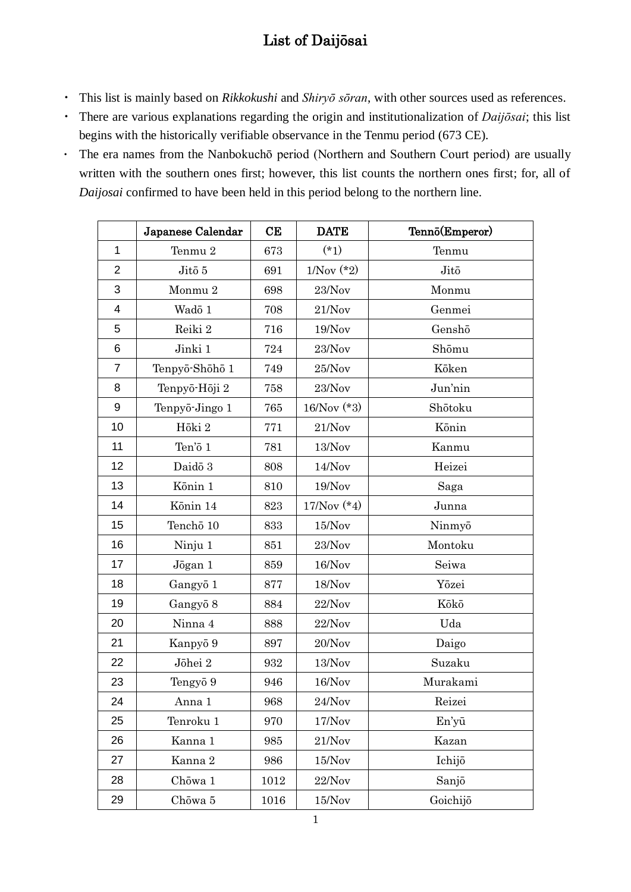## List of Daijōsai

- ・ This list is mainly based on *Rikkokushi* and *Shiryō sōran*, with other sources used as references.
- ・ There are various explanations regarding the origin and institutionalization of *Daijōsai*; this list begins with the historically verifiable observance in the Tenmu period (673 CE).
- ・ The era names from the Nanbokuchō period (Northern and Southern Court period) are usually written with the southern ones first; however, this list counts the northern ones first; for, all of *Daijosai* confirmed to have been held in this period belong to the northern line.

|                | Japanese Calendar | CE   | <b>DATE</b>    | Tennō(Emperor) |
|----------------|-------------------|------|----------------|----------------|
| $\mathbf{1}$   | Tenmu 2           | 673  | $(*1)$         | Tenmu          |
| $\overline{2}$ | Jitō 5            | 691  | $1/Nov (*)$    | Jitō           |
| 3              | Monmu 2           | 698  | 23/Nov         | Monmu          |
| 4              | Wadō 1            | 708  | 21/Nov         | Genmei         |
| 5              | Reiki 2           | 716  | 19/Nov         | Genshō         |
| 6              | Jinki 1           | 724  | 23/Nov         | Shōmu          |
| $\overline{7}$ | Tenpyō-Shōhō 1    | 749  | 25/Nov         | Kōken          |
| 8              | Tenpyō-Hōji 2     | 758  | 23/Nov         | Jun'nin        |
| 9              | Tenpyō-Jingo 1    | 765  | $16/Nov$ (*3)  | Shōtoku        |
| 10             | Hōki 2            | 771  | 21/Nov         | Kōnin          |
| 11             | Ten'ō 1           | 781  | 13/Nov         | Kanmu          |
| 12             | Daidō 3           | 808  | 14/Nov         | Heizei         |
| 13             | Kōnin 1           | 810  | 19/Nov         | Saga           |
| 14             | Kōnin 14          | 823  | $17/Nov (* 4)$ | Junna          |
| 15             | Tenchō 10         | 833  | 15/Nov         | Ninmyō         |
| 16             | Ninju 1           | 851  | 23/Nov         | Montoku        |
| 17             | Jōgan 1           | 859  | 16/Nov         | Seiwa          |
| 18             | Gangyō 1          | 877  | 18/Nov         | Yōzei          |
| 19             | Gangyō 8          | 884  | 22/Nov         | Kōkō           |
| 20             | Ninna 4           | 888  | 22/Nov         | Uda            |
| 21             | Kanpyō 9          | 897  | 20/Nov         | Daigo          |
| 22             | Jōhei $2\,$       | 932  | $13/Nov$       | Suzaku         |
| 23             | Tengyō 9          | 946  | 16/Nov         | Murakami       |
| 24             | Anna 1            | 968  | 24/Nov         | Reizei         |
| 25             | Tenroku 1         | 970  | 17/Nov         | En'yū          |
| 26             | Kanna 1           | 985  | 21/Nov         | Kazan          |
| 27             | Kanna 2           | 986  | 15/Nov         | Ichijō         |
| 28             | Chōwa 1           | 1012 | 22/Nov         | Sanjō          |
| 29             | Chōwa 5           | 1016 | 15/Nov         | Goichijō       |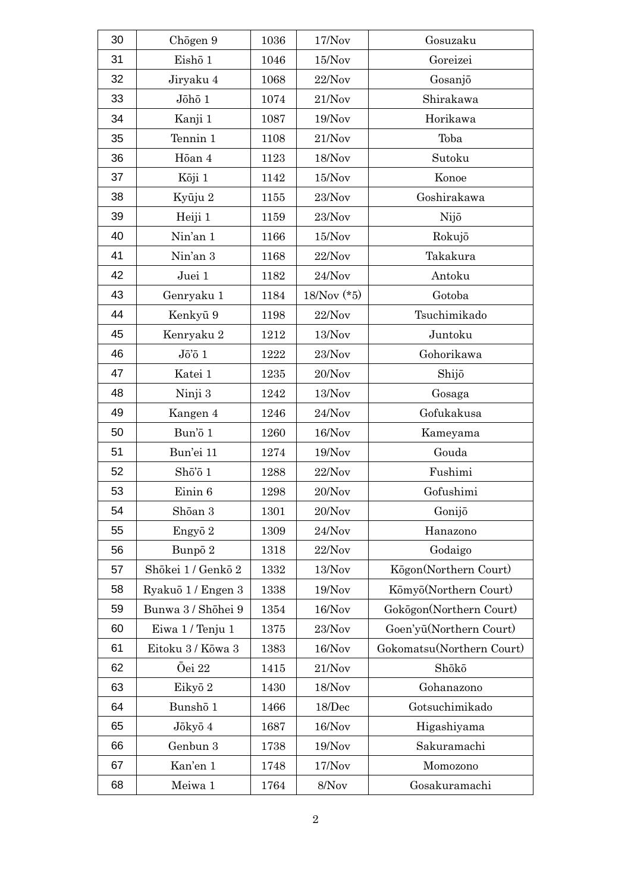| 30 | Chogen 9                            | 1036 | 17/Nov        | Gosuzaku                  |
|----|-------------------------------------|------|---------------|---------------------------|
| 31 | Eishō 1                             | 1046 | 15/Nov        | Goreizei                  |
| 32 | Jiryaku 4                           | 1068 | 22/Nov        | Gosanjō                   |
| 33 | Jōhō 1                              | 1074 | 21/Nov        | Shirakawa                 |
| 34 | Kanji 1                             | 1087 | 19/Nov        | Horikawa                  |
| 35 | Tennin 1                            | 1108 | 21/Nov        | Toba                      |
| 36 | Hōan 4                              | 1123 | 18/Nov        | Sutoku                    |
| 37 | Kōji 1                              | 1142 | 15/Nov        | Konoe                     |
| 38 | Kyūju 2                             | 1155 | 23/Nov        | Goshirakawa               |
| 39 | Heiji 1                             | 1159 | 23/Nov        | Nijō                      |
| 40 | Nin'an 1                            | 1166 | 15/Nov        | Rokujō                    |
| 41 | Nin'an 3                            | 1168 | 22/Nov        | Takakura                  |
| 42 | Juei 1                              | 1182 | 24/Nov        | Antoku                    |
| 43 | Genryaku 1                          | 1184 | $18/Nov$ (*5) | Gotoba                    |
| 44 | Kenkyū 9                            | 1198 | 22/Nov        | Tsuchimikado              |
| 45 | Kenryaku 2                          | 1212 | 13/Nov        | Juntoku                   |
| 46 | $J\bar{o}'\bar{o}$ 1                | 1222 | 23/Nov        | Gohorikawa                |
| 47 | Katei 1                             | 1235 | 20/Nov        | Shijō                     |
| 48 | Ninji 3                             | 1242 | 13/Nov        | Gosaga                    |
| 49 | Kangen 4                            | 1246 | 24/Nov        | Gofukakusa                |
| 50 | Bun'ō 1                             | 1260 | 16/Nov        | Kameyama                  |
| 51 | Bun'ei 11                           | 1274 | 19/Nov        | Gouda                     |
| 52 | $\rm Sh\bar{o}$ $\rm\bar{o}$ $\rm1$ | 1288 | 22/Nov        | Fushimi                   |
| 53 | Einin 6                             | 1298 | 20/Nov        | Gofushimi                 |
| 54 | Shōan 3                             | 1301 | 20/Nov        | Gonijō                    |
| 55 | Engyō 2                             | 1309 | 24/Nov        | Hanazono                  |
| 56 | Bunpō 2                             | 1318 | 22/Nov        | Godaigo                   |
| 57 | Shōkei 1 / Genkō 2                  | 1332 | 13/Nov        | Kögon(Northern Court)     |
| 58 | Ryakuō 1 / Engen 3                  | 1338 | 19/Nov        | Kōmyō(Northern Court)     |
| 59 | Bunwa 3 / Shōhei 9                  | 1354 | 16/Nov        | Gokōgon(Northern Court)   |
| 60 | Eiwa 1 / Tenju 1                    | 1375 | 23/Nov        | Goen'yū(Northern Court)   |
| 61 | Eitoku 3 / Kōwa 3                   | 1383 | 16/Nov        | Gokomatsu(Northern Court) |
| 62 | Ōei 22                              | 1415 | 21/Nov        | Shōkō                     |
| 63 | Eikyō 2                             | 1430 | 18/Nov        | Gohanazono                |
| 64 | Bunshō 1                            | 1466 | 18/Dec        | Gotsuchimikado            |
| 65 | Jōkyō 4                             | 1687 | 16/Nov        | Higashiyama               |
| 66 | Genbun 3                            | 1738 | 19/Nov        | Sakuramachi               |
| 67 | Kan'en 1                            | 1748 | 17/Nov        | Momozono                  |
| 68 | Meiwa 1                             | 1764 | 8/Nov         | Gosakuramachi             |